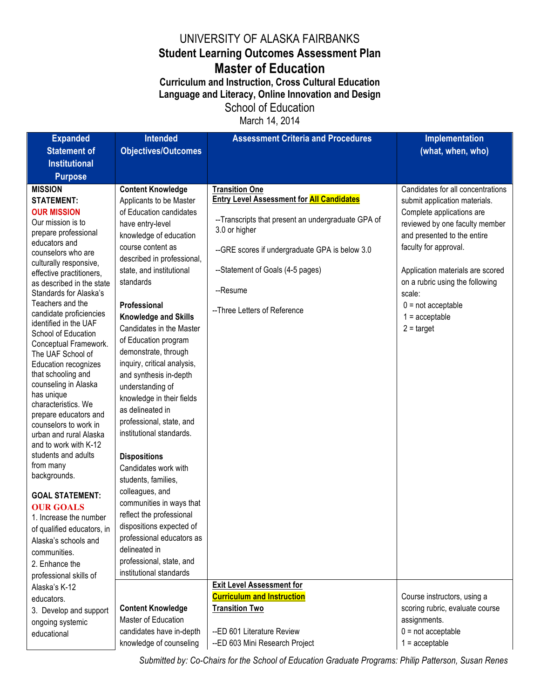## UNIVERSITY OF ALASKA FAIRBANKS **Student Learning Outcomes Assessment Plan Master of Education**

**Curriculum and Instruction, Cross Cultural Education Language and Literacy, Online Innovation and Design** School of Education

March 14, 2014

| <b>Expanded</b>                                  | <b>Intended</b>             | <b>Assessment Criteria and Procedures</b>          | <b>Implementation</b>             |
|--------------------------------------------------|-----------------------------|----------------------------------------------------|-----------------------------------|
| <b>Statement of</b>                              | <b>Objectives/Outcomes</b>  |                                                    | (what, when, who)                 |
| <b>Institutional</b>                             |                             |                                                    |                                   |
| <b>Purpose</b>                                   |                             |                                                    |                                   |
| <b>MISSION</b>                                   | <b>Content Knowledge</b>    | <b>Transition One</b>                              | Candidates for all concentrations |
| <b>STATEMENT:</b>                                | Applicants to be Master     | <b>Entry Level Assessment for All Candidates</b>   | submit application materials.     |
| <b>OUR MISSION</b>                               | of Education candidates     | --Transcripts that present an undergraduate GPA of | Complete applications are         |
| Our mission is to                                | have entry-level            | 3.0 or higher                                      | reviewed by one faculty member    |
| prepare professional                             | knowledge of education      |                                                    | and presented to the entire       |
| educators and<br>counselors who are              | course content as           | --GRE scores if undergraduate GPA is below 3.0     | faculty for approval.             |
| culturally responsive,                           | described in professional,  |                                                    |                                   |
| effective practitioners,                         | state, and institutional    | --Statement of Goals (4-5 pages)                   | Application materials are scored  |
| as described in the state                        | standards                   |                                                    | on a rubric using the following   |
| Standards for Alaska's                           |                             | --Resume                                           | scale:                            |
| Teachers and the                                 | Professional                | --Three Letters of Reference                       | $0 = not acceptable$              |
| candidate proficiencies<br>identified in the UAF | <b>Knowledge and Skills</b> |                                                    | $1 =$ acceptable                  |
| School of Education                              | Candidates in the Master    |                                                    | $2 = \text{target}$               |
| Conceptual Framework.                            | of Education program        |                                                    |                                   |
| The UAF School of                                | demonstrate, through        |                                                    |                                   |
| Education recognizes                             | inquiry, critical analysis, |                                                    |                                   |
| that schooling and                               | and synthesis in-depth      |                                                    |                                   |
| counseling in Alaska<br>has unique               | understanding of            |                                                    |                                   |
| characteristics. We                              | knowledge in their fields   |                                                    |                                   |
| prepare educators and                            | as delineated in            |                                                    |                                   |
| counselors to work in                            | professional, state, and    |                                                    |                                   |
| urban and rural Alaska                           | institutional standards.    |                                                    |                                   |
| and to work with K-12                            |                             |                                                    |                                   |
| students and adults                              | <b>Dispositions</b>         |                                                    |                                   |
| from many<br>backgrounds.                        | Candidates work with        |                                                    |                                   |
|                                                  | students, families,         |                                                    |                                   |
| <b>GOAL STATEMENT:</b>                           | colleagues, and             |                                                    |                                   |
| <b>OUR GOALS</b>                                 | communities in ways that    |                                                    |                                   |
| 1. Increase the number                           | reflect the professional    |                                                    |                                   |
| of qualified educators, in                       | dispositions expected of    |                                                    |                                   |
| Alaska's schools and                             | professional educators as   |                                                    |                                   |
| communities.                                     | delineated in               |                                                    |                                   |
| 2. Enhance the                                   | professional, state, and    |                                                    |                                   |
| professional skills of                           | institutional standards     |                                                    |                                   |
| Alaska's K-12                                    |                             | <b>Exit Level Assessment for</b>                   |                                   |
| educators.                                       |                             | <b>Curriculum and Instruction</b>                  | Course instructors, using a       |
| 3. Develop and support                           | <b>Content Knowledge</b>    | <b>Transition Two</b>                              | scoring rubric, evaluate course   |
| ongoing systemic                                 | Master of Education         |                                                    | assignments.                      |
| educational                                      | candidates have in-depth    | --ED 601 Literature Review                         | $0 = not acceptable$              |
|                                                  | knowledge of counseling     | --ED 603 Mini Research Project                     | $1 =$ acceptable                  |

*Submitted by: Co-Chairs for the School of Education Graduate Programs: Philip Patterson, Susan Renes*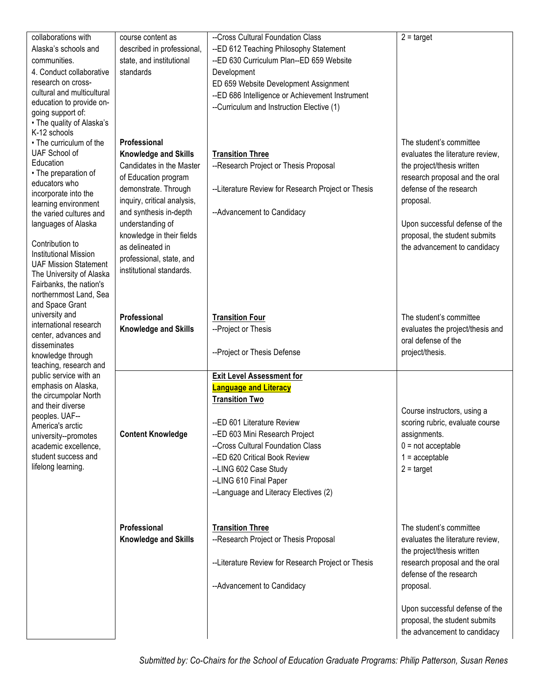| collaborations with                                    | course content as                                    | --Cross Cultural Foundation Class                  | $2 = \text{target}$                                             |
|--------------------------------------------------------|------------------------------------------------------|----------------------------------------------------|-----------------------------------------------------------------|
| Alaska's schools and                                   | described in professional,                           | --ED 612 Teaching Philosophy Statement             |                                                                 |
| communities.                                           | state, and institutional                             | --ED 630 Curriculum Plan--ED 659 Website           |                                                                 |
| 4. Conduct collaborative                               | standards                                            | Development                                        |                                                                 |
| research on cross-                                     |                                                      | ED 659 Website Development Assignment              |                                                                 |
| cultural and multicultural<br>education to provide on- |                                                      | --ED 686 Intelligence or Achievement Instrument    |                                                                 |
| going support of:                                      |                                                      | --Curriculum and Instruction Elective (1)          |                                                                 |
| • The quality of Alaska's                              |                                                      |                                                    |                                                                 |
| K-12 schools                                           |                                                      |                                                    |                                                                 |
| • The curriculum of the                                | Professional                                         |                                                    | The student's committee                                         |
| UAF School of                                          | <b>Knowledge and Skills</b>                          | <b>Transition Three</b>                            | evaluates the literature review,                                |
| Education<br>• The preparation of                      | Candidates in the Master                             | --Research Project or Thesis Proposal              | the project/thesis written                                      |
| educators who                                          | of Education program                                 |                                                    | research proposal and the oral                                  |
| incorporate into the                                   | demonstrate. Through                                 | --Literature Review for Research Project or Thesis | defense of the research                                         |
| learning environment                                   | inquiry, critical analysis,                          |                                                    | proposal.                                                       |
| the varied cultures and                                | and synthesis in-depth                               | --Advancement to Candidacy                         |                                                                 |
| languages of Alaska                                    | understanding of                                     |                                                    | Upon successful defense of the                                  |
| Contribution to                                        | knowledge in their fields<br>as delineated in        |                                                    | proposal, the student submits                                   |
| <b>Institutional Mission</b>                           |                                                      |                                                    | the advancement to candidacy                                    |
| <b>UAF Mission Statement</b>                           | professional, state, and<br>institutional standards. |                                                    |                                                                 |
| The University of Alaska                               |                                                      |                                                    |                                                                 |
| Fairbanks, the nation's<br>northernmost Land, Sea      |                                                      |                                                    |                                                                 |
| and Space Grant                                        |                                                      |                                                    |                                                                 |
| university and                                         | Professional                                         | <b>Transition Four</b>                             | The student's committee                                         |
| international research                                 | <b>Knowledge and Skills</b>                          | --Project or Thesis                                | evaluates the project/thesis and                                |
| center, advances and                                   |                                                      |                                                    | oral defense of the                                             |
| disseminates                                           |                                                      | --Project or Thesis Defense                        | project/thesis.                                                 |
| knowledge through<br>teaching, research and            |                                                      |                                                    |                                                                 |
| public service with an                                 |                                                      | <b>Exit Level Assessment for</b>                   |                                                                 |
| emphasis on Alaska,                                    |                                                      | <b>Language and Literacy</b>                       |                                                                 |
| the circumpolar North                                  |                                                      | <b>Transition Two</b>                              |                                                                 |
| and their diverse<br>peoples. UAF--                    |                                                      |                                                    | Course instructors, using a                                     |
| America's arctic                                       |                                                      | --ED 601 Literature Review                         | scoring rubric, evaluate course                                 |
| university--promotes                                   | <b>Content Knowledge</b>                             | --ED 603 Mini Research Project                     | assignments.                                                    |
| academic excellence,                                   |                                                      | --Cross Cultural Foundation Class                  | $0 = not acceptable$                                            |
| student success and                                    |                                                      | --ED 620 Critical Book Review                      | $1 =$ acceptable                                                |
| lifelong learning.                                     |                                                      | --LING 602 Case Study                              | $2 = \text{target}$                                             |
|                                                        |                                                      | --LING 610 Final Paper                             |                                                                 |
|                                                        |                                                      | --Language and Literacy Electives (2)              |                                                                 |
|                                                        |                                                      |                                                    |                                                                 |
|                                                        |                                                      | <b>Transition Three</b>                            |                                                                 |
|                                                        | Professional                                         |                                                    | The student's committee                                         |
|                                                        |                                                      |                                                    |                                                                 |
|                                                        | <b>Knowledge and Skills</b>                          | --Research Project or Thesis Proposal              | evaluates the literature review,                                |
|                                                        |                                                      |                                                    | the project/thesis written                                      |
|                                                        |                                                      | --Literature Review for Research Project or Thesis | research proposal and the oral                                  |
|                                                        |                                                      |                                                    | defense of the research                                         |
|                                                        |                                                      | --Advancement to Candidacy                         | proposal.                                                       |
|                                                        |                                                      |                                                    |                                                                 |
|                                                        |                                                      |                                                    | Upon successful defense of the<br>proposal, the student submits |
|                                                        |                                                      |                                                    | the advancement to candidacy                                    |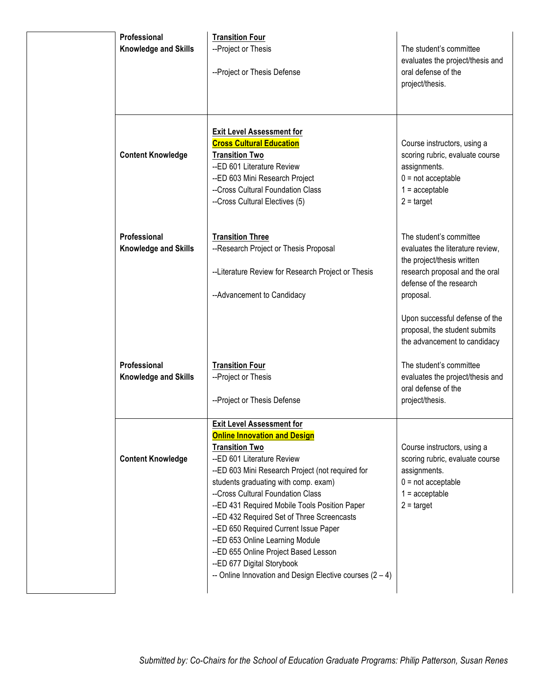| Professional<br><b>Knowledge and Skills</b> | <b>Transition Four</b><br>--Project or Thesis<br>--Project or Thesis Defense                                                                                                                                                                                                                                                                                                                                                                                                                                                                                                   | The student's committee<br>evaluates the project/thesis and<br>oral defense of the<br>project/thesis.                                                                                                                                                                  |
|---------------------------------------------|--------------------------------------------------------------------------------------------------------------------------------------------------------------------------------------------------------------------------------------------------------------------------------------------------------------------------------------------------------------------------------------------------------------------------------------------------------------------------------------------------------------------------------------------------------------------------------|------------------------------------------------------------------------------------------------------------------------------------------------------------------------------------------------------------------------------------------------------------------------|
| <b>Content Knowledge</b>                    | <b>Exit Level Assessment for</b><br><b>Cross Cultural Education</b><br><b>Transition Two</b><br>--ED 601 Literature Review<br>--ED 603 Mini Research Project<br>--Cross Cultural Foundation Class<br>--Cross Cultural Electives (5)                                                                                                                                                                                                                                                                                                                                            | Course instructors, using a<br>scoring rubric, evaluate course<br>assignments.<br>$0 = not acceptable$<br>$1 =$ acceptable<br>$2 = \text{target}$                                                                                                                      |
| Professional<br><b>Knowledge and Skills</b> | <b>Transition Three</b><br>--Research Project or Thesis Proposal<br>--Literature Review for Research Project or Thesis<br>--Advancement to Candidacy                                                                                                                                                                                                                                                                                                                                                                                                                           | The student's committee<br>evaluates the literature review,<br>the project/thesis written<br>research proposal and the oral<br>defense of the research<br>proposal.<br>Upon successful defense of the<br>proposal, the student submits<br>the advancement to candidacy |
| Professional<br>Knowledge and Skills        | <b>Transition Four</b><br>--Project or Thesis<br>--Project or Thesis Defense                                                                                                                                                                                                                                                                                                                                                                                                                                                                                                   | The student's committee<br>evaluates the project/thesis and<br>oral defense of the<br>project/thesis.                                                                                                                                                                  |
| <b>Content Knowledge</b>                    | <b>Exit Level Assessment for</b><br><b>Online Innovation and Design</b><br><b>Transition Two</b><br>--ED 601 Literature Review<br>--ED 603 Mini Research Project (not required for<br>students graduating with comp. exam)<br>--Cross Cultural Foundation Class<br>--ED 431 Required Mobile Tools Position Paper<br>--ED 432 Required Set of Three Screencasts<br>--ED 650 Required Current Issue Paper<br>--ED 653 Online Learning Module<br>--ED 655 Online Project Based Lesson<br>--ED 677 Digital Storybook<br>-- Online Innovation and Design Elective courses $(2 - 4)$ | Course instructors, using a<br>scoring rubric, evaluate course<br>assignments.<br>$0 = not acceptable$<br>$1 =$ acceptable<br>$2 = \text{target}$                                                                                                                      |